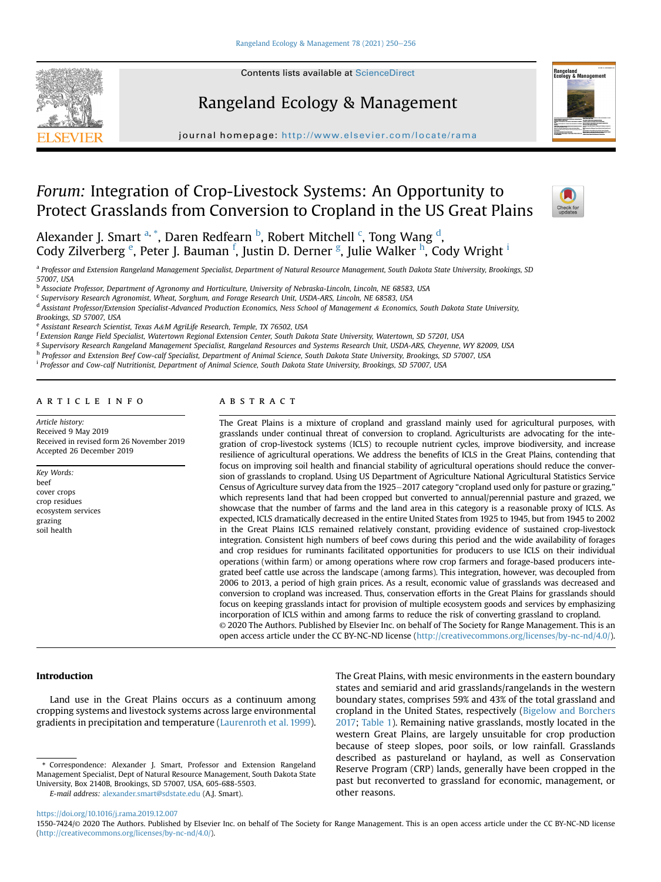





journal homepage: <http://www.elsevier.com/locate/rama>

# Forum: Integration of Crop-Livestock Systems: An Opportunity to Protect Grasslands from Conversion to Cropland in the US Great Plains



Alexander J. Smart <sup>[a,](#page-0-0) [\\*](#page-0-1)</sup>, Daren Redfearn <sup>[b](#page-0-2)</sup>, Robert Mit[c](#page-0-3)hell <sup>c</sup>, Tong Wang <sup>[d](#page-0-4)</sup>, Cody Zilv[e](#page-0-5)rberg <sup>e</sup>, Peter J. Bauman <sup>[f](#page-0-6)</sup>, Justin D. Derner <sup>[g](#page-0-7)</sup>, Julie Walker <sup>[h](#page-0-8)</sup>, Cody Wr[i](#page-0-9)ght <sup>i</sup>

<span id="page-0-0"></span>a Professor and Extension Rangeland Management Specialist, Department of Natural Resource Management, South Dakota State University, Brookings, SD 57007, USA

<span id="page-0-2"></span><sup>b</sup> Associate Professor, Department of Agronomy and Horticulture, University of Nebraska-Lincoln, Lincoln, NE 68583, USA

<span id="page-0-3"></span><sup>c</sup> Supervisory Research Agronomist, Wheat, Sorghum, and Forage Research Unit, USDA-ARS, Lincoln, NE 68583, USA

<span id="page-0-4"></span><sup>d</sup> Assistant Professor/Extension Specialist-Advanced Production Economics, Ness School of Management & Economics, South Dakota State University,

Brookings, SD 57007, USA

<span id="page-0-5"></span><sup>e</sup> Assistant Research Scientist, Texas A&M AgriLife Research, Temple, TX 76502, USA

<span id="page-0-6"></span><sup>f</sup> Extension Range Field Specialist, Watertown Regional Extension Center, South Dakota State University, Watertown, SD 57201, USA

<span id="page-0-7"></span><sup>g</sup> Supervisory Research Rangeland Management Specialist, Rangeland Resources and Systems Research Unit, USDA-ARS, Cheyenne, WY 82009, USA

<span id="page-0-8"></span>h Professor and Extension Beef Cow-calf Specialist, Department of Animal Science, South Dakota State University, Brookings, SD 57007, USA

<span id="page-0-9"></span><sup>i</sup> Professor and Cow-calf Nutritionist, Department of Animal Science, South Dakota State University, Brookings, SD 57007, USA

article info

Article history: Received 9 May 2019 Received in revised form 26 November 2019 Accepted 26 December 2019

Key Words: beef cover crops crop residues ecosystem services grazing soil health

# **ABSTRACT**

The Great Plains is a mixture of cropland and grassland mainly used for agricultural purposes, with grasslands under continual threat of conversion to cropland. Agriculturists are advocating for the integration of crop-livestock systems (ICLS) to recouple nutrient cycles, improve biodiversity, and increase resilience of agricultural operations. We address the benefits of ICLS in the Great Plains, contending that focus on improving soil health and financial stability of agricultural operations should reduce the conversion of grasslands to cropland. Using US Department of Agriculture National Agricultural Statistics Service Census of Agriculture survey data from the 1925–2017 category "cropland used only for pasture or grazing," which represents land that had been cropped but converted to annual/perennial pasture and grazed, we showcase that the number of farms and the land area in this category is a reasonable proxy of ICLS. As expected, ICLS dramatically decreased in the entire United States from 1925 to 1945, but from 1945 to 2002 in the Great Plains ICLS remained relatively constant, providing evidence of sustained crop-livestock integration. Consistent high numbers of beef cows during this period and the wide availability of forages and crop residues for ruminants facilitated opportunities for producers to use ICLS on their individual operations (within farm) or among operations where row crop farmers and forage-based producers integrated beef cattle use across the landscape (among farms). This integration, however, was decoupled from 2006 to 2013, a period of high grain prices. As a result, economic value of grasslands was decreased and conversion to cropland was increased. Thus, conservation efforts in the Great Plains for grasslands should focus on keeping grasslands intact for provision of multiple ecosystem goods and services by emphasizing incorporation of ICLS within and among farms to reduce the risk of converting grassland to cropland. © 2020 The Authors. Published by Elsevier Inc. on behalf of The Society for Range Management. This is an open access article under the CC BY-NC-ND license [\(http://creativecommons.org/licenses/by-nc-nd/4.0/](http://creativecommons.org/licenses/by-nc-nd/4.0/)).

Introduction

Land use in the Great Plains occurs as a continuum among cropping systems and livestock systems across large environmental gradients in precipitation and temperature ([Laurenroth et al. 1999\)](#page-6-0).

E-mail address: [alexander.smart@sdstate.edu](mailto:alexander.smart@sdstate.edu) (A.J. Smart).

The Great Plains, with mesic environments in the eastern boundary states and semiarid and arid grasslands/rangelands in the western boundary states, comprises 59% and 43% of the total grassland and cropland in the United States, respectively ([Bigelow and Borchers](#page-5-0) [2017;](#page-5-0) [Table 1](#page-1-0)). Remaining native grasslands, mostly located in the western Great Plains, are largely unsuitable for crop production because of steep slopes, poor soils, or low rainfall. Grasslands described as pastureland or hayland, as well as Conservation Reserve Program (CRP) lands, generally have been cropped in the past but reconverted to grassland for economic, management, or other reasons.

<span id="page-0-1"></span><sup>\*</sup> Correspondence: Alexander J. Smart, Professor and Extension Rangeland Management Specialist, Dept of Natural Resource Management, South Dakota State University, Box 2140B, Brookings, SD 57007, USA, 605-688-5503.

<https://doi.org/10.1016/j.rama.2019.12.007>

<sup>1550-7424/</sup>© 2020 The Authors. Published by Elsevier Inc. on behalf of The Society for Range Management. This is an open access article under the CC BY-NC-ND license [\(http://creativecommons.org/licenses/by-nc-nd/4.0/](http://creativecommons.org/licenses/by-nc-nd/4.0/)).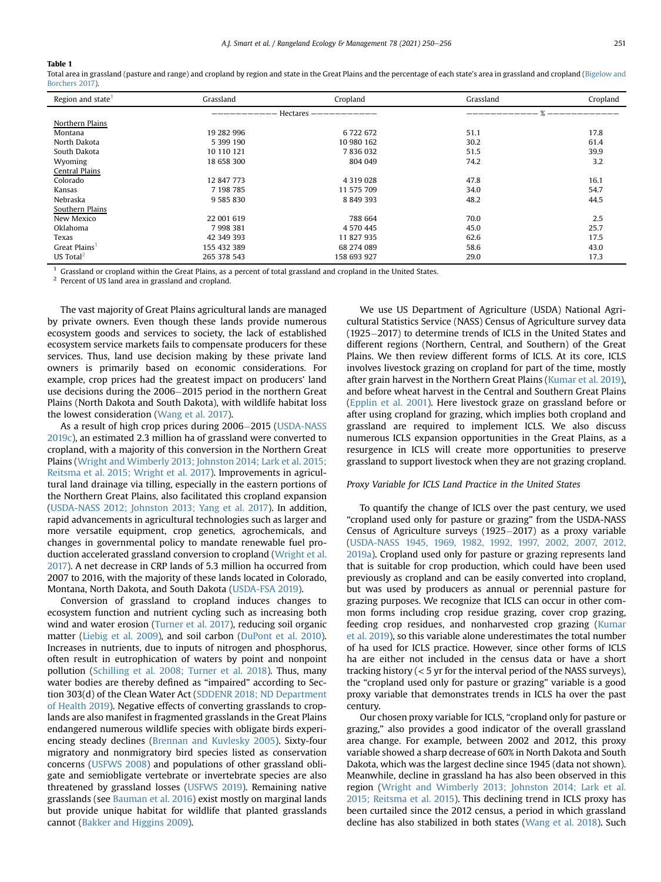## <span id="page-1-0"></span>Table 1

Total area in grassland (pasture and range) and cropland by region and state in the Great Plains and the percentage of each state's area in grassland and cropland ([Bigelow and](#page-5-0) [Borchers 2017](#page-5-0)).

| Region and state <sup>1</sup> | Grassland            | Cropland      | Grassland | Cropland |
|-------------------------------|----------------------|---------------|-----------|----------|
|                               | Hectares $---------$ |               |           |          |
| Northern Plains               |                      |               |           |          |
| Montana                       | 19 282 996           | 6722672       | 51.1      | 17.8     |
| North Dakota                  | 5 399 190            | 10 980 162    | 30.2      | 61.4     |
| South Dakota                  | 10 110 121           | 7836032       | 51.5      | 39.9     |
| Wyoming                       | 18 658 300           | 804 049       | 74.2      | 3.2      |
| Central Plains                |                      |               |           |          |
| Colorado                      | 12 847 773           | 4 3 1 9 0 2 8 | 47.8      | 16.1     |
| Kansas                        | 7 198 785            | 11 575 709    | 34.0      | 54.7     |
| Nebraska                      | 9 585 830            | 8 849 393     | 48.2      | 44.5     |
| Southern Plains               |                      |               |           |          |
| New Mexico                    | 22 001 619           | 788 664       | 70.0      | 2.5      |
| Oklahoma                      | 7 998 381            | 4 570 445     | 45.0      | 25.7     |
| Texas                         | 42 349 393           | 11 827 935    | 62.6      | 17.5     |
| Great Plains <sup>1</sup>     | 155 432 389          | 68 274 089    | 58.6      | 43.0     |
| US Total <sup>2</sup>         | 265 378 543          | 158 693 927   | 29.0      | 17.3     |

<span id="page-1-1"></span> $1$  Grassland or cropland within the Great Plains, as a percent of total grassland and cropland in the United States.

<span id="page-1-2"></span><sup>2</sup> Percent of US land area in grassland and cropland.

The vast majority of Great Plains agricultural lands are managed by private owners. Even though these lands provide numerous ecosystem goods and services to society, the lack of established ecosystem service markets fails to compensate producers for these services. Thus, land use decision making by these private land owners is primarily based on economic considerations. For example, crop prices had the greatest impact on producers' land use decisions during the 2006-2015 period in the northern Great Plains (North Dakota and South Dakota), with wildlife habitat loss the lowest consideration ([Wang et al. 2017\)](#page-6-1).

As a result of high crop prices during 2006–2015 [\(USDA-NASS](#page-6-2) [2019c\)](#page-6-2), an estimated 2.3 million ha of grassland were converted to cropland, with a majority of this conversion in the Northern Great Plains ([Wright and Wimberly 2013; Johnston 2014; Lark et al. 2015;](#page-6-3) [Reitsma et al. 2015; Wright et al. 2017\)](#page-6-3). Improvements in agricultural land drainage via tilling, especially in the eastern portions of the Northern Great Plains, also facilitated this cropland expansion ([USDA-NASS 2012; Johnston 2013; Yang et al. 2017](#page-6-4)). In addition, rapid advancements in agricultural technologies such as larger and more versatile equipment, crop genetics, agrochemicals, and changes in governmental policy to mandate renewable fuel production accelerated grassland conversion to cropland [\(Wright et al.](#page-6-5) [2017](#page-6-5)). A net decrease in CRP lands of 5.3 million ha occurred from 2007 to 2016, with the majority of these lands located in Colorado, Montana, North Dakota, and South Dakota [\(USDA-FSA 2019](#page-6-6)).

Conversion of grassland to cropland induces changes to ecosystem function and nutrient cycling such as increasing both wind and water erosion [\(Turner et al. 2017](#page-6-7)), reducing soil organic matter [\(Liebig et al. 2009\)](#page-6-8), and soil carbon [\(DuPont et al. 2010\)](#page-5-1). Increases in nutrients, due to inputs of nitrogen and phosphorus, often result in eutrophication of waters by point and nonpoint pollution ([Schilling et al. 2008; Turner et al. 2018\)](#page-6-9). Thus, many water bodies are thereby defined as "impaired" according to Section 303(d) of the Clean Water Act ([SDDENR 2018; ND Department](#page-6-10) [of Health 2019](#page-6-10)). Negative effects of converting grasslands to croplands are also manifest in fragmented grasslands in the Great Plains endangered numerous wildlife species with obligate birds experiencing steady declines [\(Brennan and Kuvlesky 2005](#page-5-2)). Sixty-four migratory and nonmigratory bird species listed as conservation concerns [\(USFWS 2008\)](#page-6-11) and populations of other grassland obligate and semiobligate vertebrate or invertebrate species are also threatened by grassland losses ([USFWS 2019\)](#page-6-12). Remaining native grasslands (see [Bauman et al. 2016\)](#page-5-3) exist mostly on marginal lands but provide unique habitat for wildlife that planted grasslands cannot ([Bakker and Higgins 2009\)](#page-5-4).

We use US Department of Agriculture (USDA) National Agricultural Statistics Service (NASS) Census of Agriculture survey data  $(1925-2017)$  to determine trends of ICLS in the United States and different regions (Northern, Central, and Southern) of the Great Plains. We then review different forms of ICLS. At its core, ICLS involves livestock grazing on cropland for part of the time, mostly after grain harvest in the Northern Great Plains ([Kumar et al. 2019\)](#page-5-5), and before wheat harvest in the Central and Southern Great Plains ([Epplin et al. 2001](#page-5-6)). Here livestock graze on grassland before or after using cropland for grazing, which implies both cropland and grassland are required to implement ICLS. We also discuss numerous ICLS expansion opportunities in the Great Plains, as a resurgence in ICLS will create more opportunities to preserve grassland to support livestock when they are not grazing cropland.

## Proxy Variable for ICLS Land Practice in the United States

To quantify the change of ICLS over the past century, we used "cropland used only for pasture or grazing" from the USDA-NASS Census of Agriculture surveys  $(1925-2017)$  as a proxy variable ([USDA-NASS 1945, 1969, 1982, 1992, 1997, 2002, 2007, 2012,](#page-6-13) [2019a\)](#page-6-13). Cropland used only for pasture or grazing represents land that is suitable for crop production, which could have been used previously as cropland and can be easily converted into cropland, but was used by producers as annual or perennial pasture for grazing purposes. We recognize that ICLS can occur in other common forms including crop residue grazing, cover crop grazing, feeding crop residues, and nonharvested crop grazing [\(Kumar](#page-5-5) [et al. 2019\)](#page-5-5), so this variable alone underestimates the total number of ha used for ICLS practice. However, since other forms of ICLS ha are either not included in the census data or have a short tracking history  $(< 5$  yr for the interval period of the NASS surveys), the "cropland used only for pasture or grazing" variable is a good proxy variable that demonstrates trends in ICLS ha over the past century.

Our chosen proxy variable for ICLS, "cropland only for pasture or grazing," also provides a good indicator of the overall grassland area change. For example, between 2002 and 2012, this proxy variable showed a sharp decrease of 60% in North Dakota and South Dakota, which was the largest decline since 1945 (data not shown). Meanwhile, decline in grassland ha has also been observed in this region ([Wright and Wimberly 2013; Johnston 2014; Lark et al.](#page-6-3) [2015; Reitsma et al. 2015](#page-6-3)). This declining trend in ICLS proxy has been curtailed since the 2012 census, a period in which grassland decline has also stabilized in both states [\(Wang et al. 2018\)](#page-6-14). Such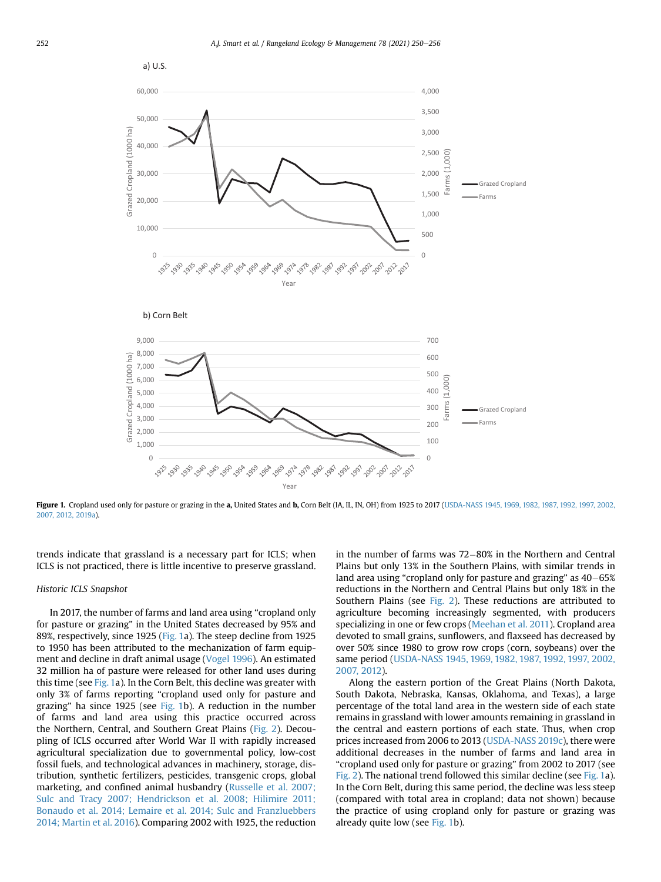<span id="page-2-0"></span>

Figure 1. Cropland used only for pasture or grazing in the a, United States and b, Corn Belt (IA, IL, IN, OH) from 1925 to 2017 [\(USDA-NASS 1945, 1969, 1982, 1987, 1992, 1997, 2002,](#page-6-13) [2007, 2012, 2019a\)](#page-6-13).

trends indicate that grassland is a necessary part for ICLS; when ICLS is not practiced, there is little incentive to preserve grassland.

#### Historic ICLS Snapshot

In 2017, the number of farms and land area using "cropland only for pasture or grazing" in the United States decreased by 95% and 89%, respectively, since 1925 ([Fig. 1](#page-2-0)a). The steep decline from 1925 to 1950 has been attributed to the mechanization of farm equipment and decline in draft animal usage [\(Vogel 1996\)](#page-6-15). An estimated 32 million ha of pasture were released for other land uses during this time (see [Fig. 1a](#page-2-0)). In the Corn Belt, this decline was greater with only 3% of farms reporting "cropland used only for pasture and grazing" ha since 1925 (see [Fig. 1b](#page-2-0)). A reduction in the number of farms and land area using this practice occurred across the Northern, Central, and Southern Great Plains ([Fig. 2\)](#page-3-0). Decoupling of ICLS occurred after World War II with rapidly increased agricultural specialization due to governmental policy, low-cost fossil fuels, and technological advances in machinery, storage, distribution, synthetic fertilizers, pesticides, transgenic crops, global marketing, and confined animal husbandry ([Russelle et al. 2007;](#page-6-16) [Sulc and Tracy 2007; Hendrickson et al. 2008; Hilimire 2011;](#page-6-16) [Bonaudo et al. 2014; Lemaire et al. 2014; Sulc and Franzluebbers](#page-6-16) [2014; Martin et al. 2016\)](#page-6-16). Comparing 2002 with 1925, the reduction in the number of farms was  $72-80%$  in the Northern and Central Plains but only 13% in the Southern Plains, with similar trends in land area using "cropland only for pasture and grazing" as  $40-65%$ reductions in the Northern and Central Plains but only 18% in the Southern Plains (see [Fig. 2](#page-3-0)). These reductions are attributed to agriculture becoming increasingly segmented, with producers specializing in one or few crops ([Meehan et al. 2011\)](#page-6-17). Cropland area devoted to small grains, sunflowers, and flaxseed has decreased by over 50% since 1980 to grow row crops (corn, soybeans) over the same period ([USDA-NASS 1945, 1969, 1982, 1987, 1992, 1997, 2002,](#page-6-13) [2007, 2012\)](#page-6-13).

Along the eastern portion of the Great Plains (North Dakota, South Dakota, Nebraska, Kansas, Oklahoma, and Texas), a large percentage of the total land area in the western side of each state remains in grassland with lower amounts remaining in grassland in the central and eastern portions of each state. Thus, when crop prices increased from 2006 to 2013 [\(USDA-NASS 2019c\)](#page-6-2), there were additional decreases in the number of farms and land area in "cropland used only for pasture or grazing" from 2002 to 2017 (see [Fig. 2](#page-3-0)). The national trend followed this similar decline (see [Fig. 1a](#page-2-0)). In the Corn Belt, during this same period, the decline was less steep (compared with total area in cropland; data not shown) because the practice of using cropland only for pasture or grazing was already quite low (see [Fig. 1b](#page-2-0)).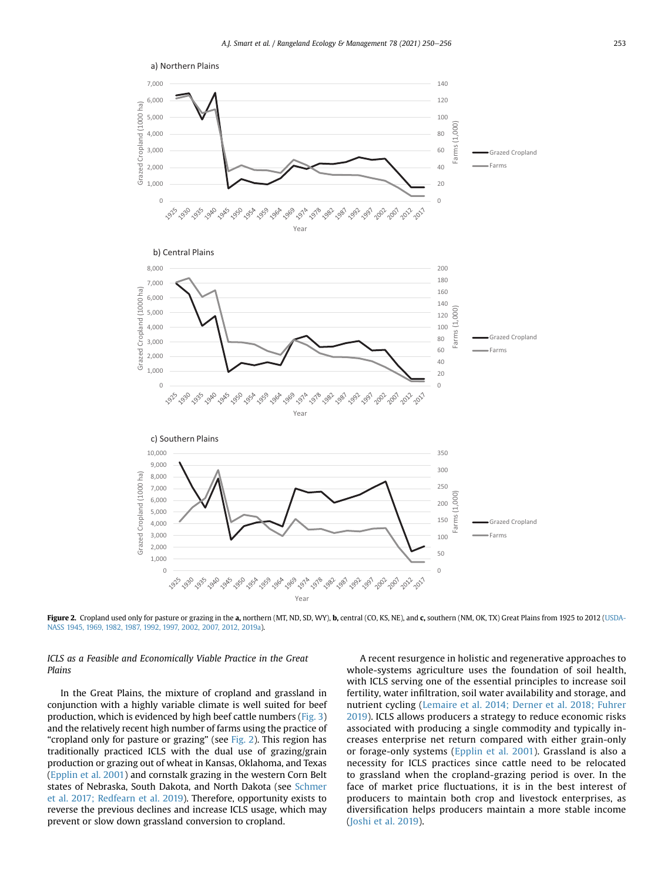<span id="page-3-0"></span>

Figure 2. Cropland used only for pasture or grazing in the a, northern (MT, ND, SD, WY), b, central (CO, KS, NE), and c, southern (NM, OK, TX) Great Plains from 1925 to 2012 ([USDA-](#page-6-13)[NASS 1945, 1969, 1982, 1987, 1992, 1997, 2002, 2007, 2012, 2019a](#page-6-13)).

# ICLS as a Feasible and Economically Viable Practice in the Great Plains

In the Great Plains, the mixture of cropland and grassland in conjunction with a highly variable climate is well suited for beef production, which is evidenced by high beef cattle numbers ([Fig. 3\)](#page-4-0) and the relatively recent high number of farms using the practice of "cropland only for pasture or grazing" (see [Fig. 2](#page-3-0)). This region has traditionally practiced ICLS with the dual use of grazing/grain production or grazing out of wheat in Kansas, Oklahoma, and Texas ([Epplin et al. 2001\)](#page-5-6) and cornstalk grazing in the western Corn Belt states of Nebraska, South Dakota, and North Dakota (see [Schmer](#page-6-18) [et al. 2017; Redfearn et al. 2019\)](#page-6-18). Therefore, opportunity exists to reverse the previous declines and increase ICLS usage, which may prevent or slow down grassland conversion to cropland.

A recent resurgence in holistic and regenerative approaches to whole-systems agriculture uses the foundation of soil health, with ICLS serving one of the essential principles to increase soil fertility, water infiltration, soil water availability and storage, and nutrient cycling ([Lemaire et al. 2014; Derner et al. 2018; Fuhrer](#page-6-19) [2019](#page-6-19)). ICLS allows producers a strategy to reduce economic risks associated with producing a single commodity and typically increases enterprise net return compared with either grain-only or forage-only systems ([Epplin et al. 2001\)](#page-5-6). Grassland is also a necessity for ICLS practices since cattle need to be relocated to grassland when the cropland-grazing period is over. In the face of market price fluctuations, it is in the best interest of producers to maintain both crop and livestock enterprises, as diversification helps producers maintain a more stable income ([Joshi et al. 2019](#page-5-7)).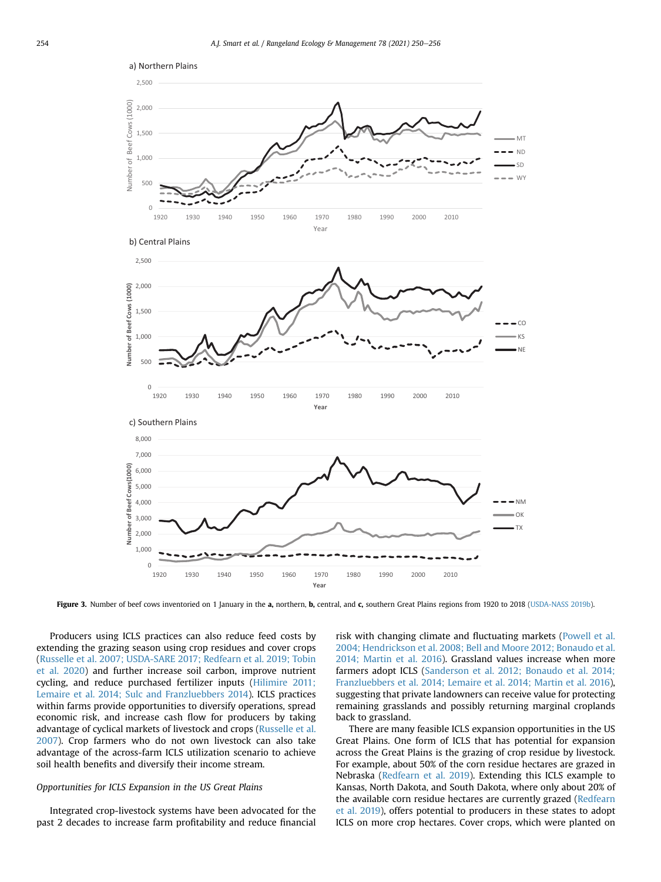<span id="page-4-0"></span>

Figure 3. Number of beef cows inventoried on 1 January in the a, northern, b, central, and c, southern Great Plains regions from 1920 to 2018 ([USDA-NASS 2019b\)](#page-6-23).

Producers using ICLS practices can also reduce feed costs by extending the grazing season using crop residues and cover crops ([Russelle et al. 2007; USDA-SARE 2017; Redfearn et al. 2019; Tobin](#page-6-16) [et al. 2020](#page-6-16)) and further increase soil carbon, improve nutrient cycling, and reduce purchased fertilizer inputs [\(Hilimire 2011;](#page-5-8) [Lemaire et al. 2014; Sulc and Franzluebbers 2014](#page-5-8)). ICLS practices within farms provide opportunities to diversify operations, spread economic risk, and increase cash flow for producers by taking advantage of cyclical markets of livestock and crops ([Russelle et al.](#page-6-16) [2007\)](#page-6-16). Crop farmers who do not own livestock can also take advantage of the across-farm ICLS utilization scenario to achieve soil health benefits and diversify their income stream.

## Opportunities for ICLS Expansion in the US Great Plains

Integrated crop-livestock systems have been advocated for the past 2 decades to increase farm profitability and reduce financial risk with changing climate and fluctuating markets ([Powell et al.](#page-6-20) [2004; Hendrickson et al. 2008; Bell and Moore 2012; Bonaudo et al.](#page-6-20) [2014; Martin et al. 2016\)](#page-6-20). Grassland values increase when more farmers adopt ICLS ([Sanderson et al. 2012; Bonaudo et al. 2014;](#page-6-21) [Franzluebbers et al. 2014; Lemaire et al. 2014; Martin et al. 2016\)](#page-6-21), suggesting that private landowners can receive value for protecting remaining grasslands and possibly returning marginal croplands back to grassland.

There are many feasible ICLS expansion opportunities in the US Great Plains. One form of ICLS that has potential for expansion across the Great Plains is the grazing of crop residue by livestock. For example, about 50% of the corn residue hectares are grazed in Nebraska [\(Redfearn et al. 2019\)](#page-6-22). Extending this ICLS example to Kansas, North Dakota, and South Dakota, where only about 20% of the available corn residue hectares are currently grazed [\(Redfearn](#page-6-22) [et al. 2019\)](#page-6-22), offers potential to producers in these states to adopt ICLS on more crop hectares. Cover crops, which were planted on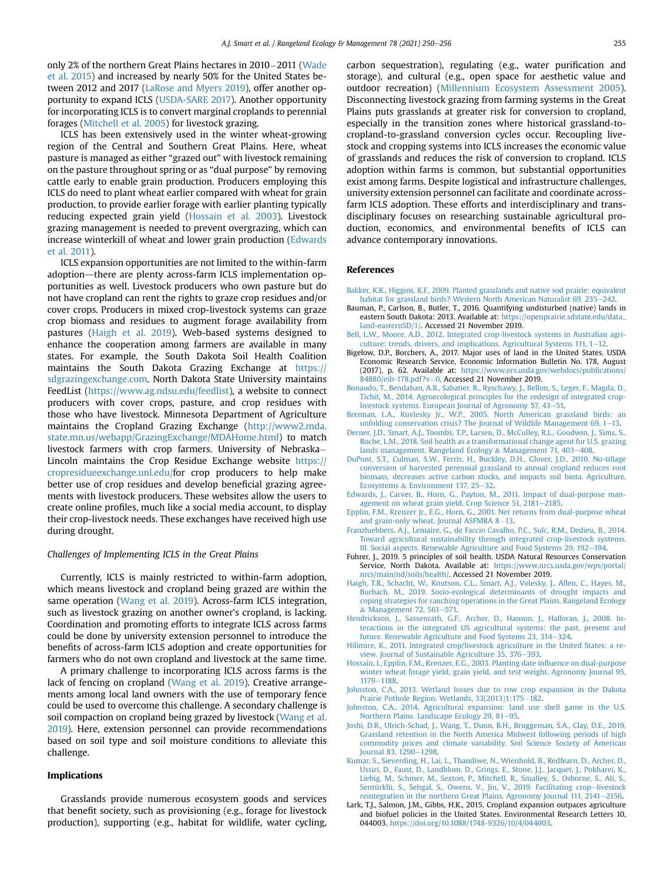only 2% of the northern Great Plains hectares in 2010-2011 ([Wade](#page-6-24) [et al. 2015](#page-6-24)) and increased by nearly 50% for the United States between 2012 and 2017 ([LaRose and Myers 2019](#page-6-25)), offer another opportunity to expand ICLS ([USDA-SARE 2017](#page-6-26)). Another opportunity for incorporating ICLS is to convert marginal croplands to perennial forages [\(Mitchell et al. 2005\)](#page-6-27) for livestock grazing.

ICLS has been extensively used in the winter wheat-growing region of the Central and Southern Great Plains. Here, wheat pasture is managed as either "grazed out" with livestock remaining on the pasture throughout spring or as "dual purpose" by removing cattle early to enable grain production. Producers employing this ICLS do need to plant wheat earlier compared with wheat for grain production, to provide earlier forage with earlier planting typically reducing expected grain yield ([Hossain et al. 2003](#page-5-9)). Livestock grazing management is needed to prevent overgrazing, which can increase winterkill of wheat and lower grain production [\(Edwards](#page-5-10) [et al. 2011](#page-5-10)).

ICLS expansion opportunities are not limited to the within-farm adoption—there are plenty across-farm ICLS implementation opportunities as well. Livestock producers who own pasture but do not have cropland can rent the rights to graze crop residues and/or cover crops. Producers in mixed crop-livestock systems can graze crop biomass and residues to augment forage availability from pastures ([Haigh et al. 2019](#page-5-11)). Web-based systems designed to enhance the cooperation among farmers are available in many states. For example, the South Dakota Soil Health Coalition maintains the South Dakota Grazing Exchange at [https://](https://sdgrazingexchange.com) [sdgrazingexchange.com](https://sdgrazingexchange.com). North Dakota State University maintains FeedList [\(https://www.ag.ndsu.edu/feedlist\)](https://www.ag.ndsu.edu/feedlist), a website to connect producers with cover crops, pasture, and crop residues with those who have livestock. Minnesota Department of Agriculture maintains the Cropland Grazing Exchange ([http://www2.mda.](http://www2.mda.state.mn.us/webapp/GrazingExchange/MDAHome.html) [state.mn.us/webapp/GrazingExchange/MDAHome.html\)](http://www2.mda.state.mn.us/webapp/GrazingExchange/MDAHome.html) to match livestock farmers with crop farmers. University of Nebraska Lincoln maintains the Crop Residue Exchange website [https://](https://cropresidueexchange.unl.edu/) [cropresidueexchange.unl.edu/](https://cropresidueexchange.unl.edu/)for crop producers to help make better use of crop residues and develop beneficial grazing agreements with livestock producers. These websites allow the users to create online profiles, much like a social media account, to display their crop-livestock needs. These exchanges have received high use during drought.

#### Challenges of Implementing ICLS in the Great Plains

Currently, ICLS is mainly restricted to within-farm adoption, which means livestock and cropland being grazed are within the same operation [\(Wang et al. 2019\)](#page-6-28). Across-farm ICLS integration, such as livestock grazing on another owner's cropland, is lacking. Coordination and promoting efforts to integrate ICLS across farms could be done by university extension personnel to introduce the benefits of across-farm ICLS adoption and create opportunities for farmers who do not own cropland and livestock at the same time.

A primary challenge to incorporating ICLS across farms is the lack of fencing on cropland [\(Wang et al. 2019](#page-6-28)). Creative arrangements among local land owners with the use of temporary fence could be used to overcome this challenge. A secondary challenge is soil compaction on cropland being grazed by livestock [\(Wang et al.](#page-6-28) [2019\)](#page-6-28). Here, extension personnel can provide recommendations based on soil type and soil moisture conditions to alleviate this challenge.

## Implications

Grasslands provide numerous ecosystem goods and services that benefit society, such as provisioning (e.g., forage for livestock production), supporting (e.g., habitat for wildlife, water cycling, carbon sequestration), regulating (e.g., water purification and storage), and cultural (e.g., open space for aesthetic value and outdoor recreation) ([Millennium Ecosystem Assessment 2005\)](#page-6-29). Disconnecting livestock grazing from farming systems in the Great Plains puts grasslands at greater risk for conversion to cropland, especially in the transition zones where historical grassland-tocropland-to-grassland conversion cycles occur. Recoupling livestock and cropping systems into ICLS increases the economic value of grasslands and reduces the risk of conversion to cropland. ICLS adoption within farms is common, but substantial opportunities exist among farms. Despite logistical and infrastructure challenges, university extension personnel can facilitate and coordinate acrossfarm ICLS adoption. These efforts and interdisciplinary and transdisciplinary focuses on researching sustainable agricultural production, economics, and environmental benefits of ICLS can advance contemporary innovations.

## References

- <span id="page-5-4"></span>[Bakker, K.K., Higgins, K.F., 2009. Planted grasslands and native sod prairie: equivalent](http://refhub.elsevier.com/S1550-7424(19)30118-6/sref1) [habitat for grassland birds? Western North American Naturalist 69, 235](http://refhub.elsevier.com/S1550-7424(19)30118-6/sref1)
- <span id="page-5-3"></span>Bauman, P., Carlson, B., Butler, T., 2016. Quantifying undisturbed (native) lands in eastern South Dakota: 2013. Available at: [https://openprairie.sdstate.edu/data\\_](https://openprairie.sdstate.edu/data_land-easternSD/1/) [land-easternSD/1/](https://openprairie.sdstate.edu/data_land-easternSD/1/). Accessed 21 November 2019.
- [Bell, L.W., Moore, A.D., 2012. Integrated crop-livestock systems in Australian agri](http://refhub.elsevier.com/S1550-7424(19)30118-6/sref3)culture: trends, drivers, and implications. Agricultural Systems  $111$ ,  $1-12$ .
- <span id="page-5-0"></span>Bigelow, D.P., Borchers, A., 2017. Major uses of land in the United States. USDA Economic Research Service, Economic Information Bulletin No. 178, August (2017), p. 62. Available at: [https://www.ers.usda.gov/webdocs/publications/](https://www.ers.usda.gov/webdocs/publications/84880/eib-178.pdf?v=0) [84880/eib-178.pdf?v](https://www.ers.usda.gov/webdocs/publications/84880/eib-178.pdf?v=0)=[0](https://www.ers.usda.gov/webdocs/publications/84880/eib-178.pdf?v=0). Accessed 21 November 2019.
- [Bonaudo, T., Bendahan, A.B., Sabatier, R., Ryschawy, J., Bellon, S., Leger, F., Magda, D.,](http://refhub.elsevier.com/S1550-7424(19)30118-6/sref5) [Tichit, M., 2014. Agroecological principles for the redesign of integrated crop](http://refhub.elsevier.com/S1550-7424(19)30118-6/sref5)[livestock systems. European Journal of Agronomy 57, 43](http://refhub.elsevier.com/S1550-7424(19)30118-6/sref5)-[51.](http://refhub.elsevier.com/S1550-7424(19)30118-6/sref5)
- <span id="page-5-2"></span>[Brennan, L.A., Kuvlesky Jr., W.P., 2005. North American grassland birds: an](http://refhub.elsevier.com/S1550-7424(19)30118-6/sref6) unfolding conservation crisis? The Journal of Wildlife Management 69,  $1-13$ .
- [Derner, J.D., Smart, A.J., Toombs, T.P., Larsen, D., McCulley, R.L., Goodwin, J., Sims, S.,](http://refhub.elsevier.com/S1550-7424(19)30118-6/sref7) [Roche, L.M., 2018. Soil health as a transformational change agent for U.S. grazing](http://refhub.elsevier.com/S1550-7424(19)30118-6/sref7) [lands management. Rangeland Ecology](http://refhub.elsevier.com/S1550-7424(19)30118-6/sref7) & [Management 71, 403](http://refhub.elsevier.com/S1550-7424(19)30118-6/sref7)-[408.](http://refhub.elsevier.com/S1550-7424(19)30118-6/sref7)
- <span id="page-5-1"></span>[DuPont, S.T., Culman, S.W., Ferris, H., Buckley, D.H., Glover, J.D., 2010. No-tillage](http://refhub.elsevier.com/S1550-7424(19)30118-6/sref8) [conversion of harvested perennial grassland to annual cropland reduces root](http://refhub.elsevier.com/S1550-7424(19)30118-6/sref8) [biomass, decreases active carbon stocks, and impacts soil biota. Agriculture,](http://refhub.elsevier.com/S1550-7424(19)30118-6/sref8) [Ecosystems](http://refhub.elsevier.com/S1550-7424(19)30118-6/sref8) & Environment 137,  $25-32$  $25-32$ .
- <span id="page-5-10"></span>[Edwards, J., Carver, B., Horn, G., Payton, M., 2011. Impact of dual-purpose man](http://refhub.elsevier.com/S1550-7424(19)30118-6/sref9)agement on wheat grain yield. Crop Science 51,  $2181-2185$ .
- <span id="page-5-6"></span>[Epplin, F.M., Krenzer Jr., E.G., Horn, G., 2001. Net returns from dual-purpose wheat](http://refhub.elsevier.com/S1550-7424(19)30118-6/sref10)<br>[and grain-only wheat. Journal ASFMRA 8](http://refhub.elsevier.com/S1550-7424(19)30118-6/sref10)–[13](http://refhub.elsevier.com/S1550-7424(19)30118-6/sref10).
- [Franzluebbers, A.J., Lemaire, G., de Faccio Cavalho, P.C., Sulc, R.M., Dedieu, B., 2014.](http://refhub.elsevier.com/S1550-7424(19)30118-6/sref12) [Toward agricultural sustainability through integrated crop-livestock systems.](http://refhub.elsevier.com/S1550-7424(19)30118-6/sref12) [III. Social aspects. Renewable Agriculture and Food Systems 29, 192](http://refhub.elsevier.com/S1550-7424(19)30118-6/sref12)–[194.](http://refhub.elsevier.com/S1550-7424(19)30118-6/sref12)
- Fuhrer, J., 2019. 5 principles of soil health. USDA Natural Resources Conservation Service, North Dakota. Available at: [https://www.nrcs.usda.gov/wps/portal/](https://www.nrcs.usda.gov/wps/portal/nrcs/main/nd/soils/health/) [nrcs/main/nd/soils/health/](https://www.nrcs.usda.gov/wps/portal/nrcs/main/nd/soils/health/). Accessed 21 November 2019.
- <span id="page-5-11"></span>[Haigh, T.R., Schacht, W., Knutson, C.L., Smart, A.J., Volesky, J., Allen, C., Hayes, M.,](http://refhub.elsevier.com/S1550-7424(19)30118-6/sref15) [Burbach, M., 2019. Socio-ecological determinants of drought impacts and](http://refhub.elsevier.com/S1550-7424(19)30118-6/sref15) [coping strategies for ranching operations in the Great Plains. Rangeland Ecology](http://refhub.elsevier.com/S1550-7424(19)30118-6/sref15)  $&$  [Management 72, 561](http://refhub.elsevier.com/S1550-7424(19)30118-6/sref15)-[571.](http://refhub.elsevier.com/S1550-7424(19)30118-6/sref15)
- [Hendrickson, J., Sassenrath, G.F., Archer, D., Hanson, J., Halloran, J., 2008. In](http://refhub.elsevier.com/S1550-7424(19)30118-6/sref17)[teractions in the integrated US agricultural systems: the past, present and](http://refhub.elsevier.com/S1550-7424(19)30118-6/sref17) [future. Renewable Agriculture and Food Systems 23, 314](http://refhub.elsevier.com/S1550-7424(19)30118-6/sref17)-[324.](http://refhub.elsevier.com/S1550-7424(19)30118-6/sref17)
- <span id="page-5-8"></span>[Hilimire, K., 2011. Integrated crop/livestock agriculture in the United States: a re](http://refhub.elsevier.com/S1550-7424(19)30118-6/sref18)[view. Journal of Sustainable Agriculture 35, 376](http://refhub.elsevier.com/S1550-7424(19)30118-6/sref18)-[393.](http://refhub.elsevier.com/S1550-7424(19)30118-6/sref18)
- <span id="page-5-9"></span>[Hossain, I., Epplin, F.M., Krenzer, E.G., 2003. Planting date in](http://refhub.elsevier.com/S1550-7424(19)30118-6/sref19)fluence on dual-purpose [winter wheat forage yield, grain yield, and test weight. Agronomy Journal 95,](http://refhub.elsevier.com/S1550-7424(19)30118-6/sref19) [1179](http://refhub.elsevier.com/S1550-7424(19)30118-6/sref19)-[1188](http://refhub.elsevier.com/S1550-7424(19)30118-6/sref19).
- [Johnston, C.A., 2013. Wetland losses due to row crop expansion in the Dakota](http://refhub.elsevier.com/S1550-7424(19)30118-6/sref20) [Prairie Pothole Region. Wetlands, 33\(2013\)1:175](http://refhub.elsevier.com/S1550-7424(19)30118-6/sref20)-[182.](http://refhub.elsevier.com/S1550-7424(19)30118-6/sref20)
- [Johnston, C.A., 2014. Agricultural expansion: land use shell game in the U.S.](http://refhub.elsevier.com/S1550-7424(19)30118-6/sref21) [Northern Plains. Landscape Ecology 29, 81](http://refhub.elsevier.com/S1550-7424(19)30118-6/sref21)-[95](http://refhub.elsevier.com/S1550-7424(19)30118-6/sref21).
- <span id="page-5-7"></span>[Joshi, D.R., Ulrich-Schad, J., Wang, T., Dunn, B.H., Bruggeman, S.A., Clay, D.E., 2019.](http://refhub.elsevier.com/S1550-7424(19)30118-6/sref22) [Grassland retention in the North America Midwest following periods of high](http://refhub.elsevier.com/S1550-7424(19)30118-6/sref22) [commodity prices and climate variability. Soil Science Society of American](http://refhub.elsevier.com/S1550-7424(19)30118-6/sref22) [Journal 83, 1290](http://refhub.elsevier.com/S1550-7424(19)30118-6/sref22)-[1298.](http://refhub.elsevier.com/S1550-7424(19)30118-6/sref22)
- <span id="page-5-5"></span>[Kumar, S., Sieverding, H., Lai, L., Thandiwe, N., Wienhold, B., Redfearn, D., Archer, D.,](http://refhub.elsevier.com/S1550-7424(19)30118-6/sref23) [Ussiri, D., Faust, D., Landblom, D., Grings, E., Stone, J.J., Jacquet, J., Pokharei, K.,](http://refhub.elsevier.com/S1550-7424(19)30118-6/sref23) [Liebig, M., Schmer, M., Sexton, P., Mitchell, R., Smalley, S., Osborne, S., Ali, S.,](http://refhub.elsevier.com/S1550-7424(19)30118-6/sref23) [Sentürklü, S., Sehgal, S., Owens, V., Jin, V., 2019. Facilitating crop](http://refhub.elsevier.com/S1550-7424(19)30118-6/sref23)-[livestock](http://refhub.elsevier.com/S1550-7424(19)30118-6/sref23) [reintegration in the northern Great Plains. Agronomy Journal 111, 2141](http://refhub.elsevier.com/S1550-7424(19)30118-6/sref23)-[2156.](http://refhub.elsevier.com/S1550-7424(19)30118-6/sref23)
- Lark, T.J., Salmon, J.M., Gibbs, H.K., 2015. Cropland expansion outpaces agriculture and biofuel policies in the United States. Environmental Research Letters 10, 044003. [https://doi.org/10.1088/1748-9326/10/4/044003.](https://doi.org/10.1088/1748-9326/10/4/044003)